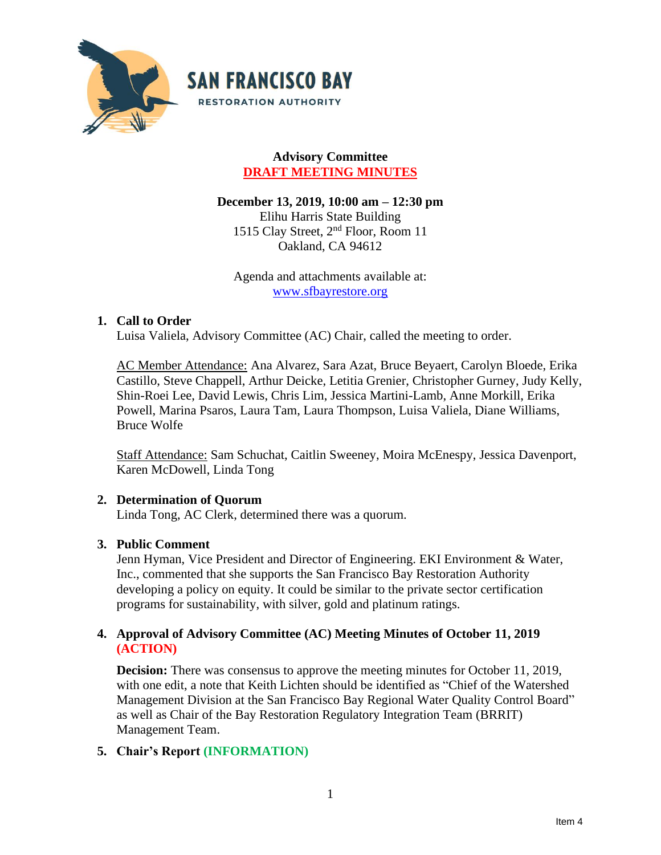

# **Advisory Committee DRAFT MEETING MINUTES**

**December 13, 2019, 10:00 am – 12:30 pm** Elihu Harris State Building 1515 Clay Street, 2nd Floor, Room 11 Oakland, CA 94612

Agenda and attachments available at: [www.sfbayrestore.org](http://www.sfbayrestore.org/)

### **1. Call to Order**

Luisa Valiela, Advisory Committee (AC) Chair, called the meeting to order.

AC Member Attendance: Ana Alvarez, Sara Azat, Bruce Beyaert, Carolyn Bloede, Erika Castillo, Steve Chappell, Arthur Deicke, Letitia Grenier, Christopher Gurney, Judy Kelly, Shin-Roei Lee, David Lewis, Chris Lim, Jessica Martini-Lamb, Anne Morkill, Erika Powell, Marina Psaros, Laura Tam, Laura Thompson, Luisa Valiela, Diane Williams, Bruce Wolfe

Staff Attendance: Sam Schuchat, Caitlin Sweeney, Moira McEnespy, Jessica Davenport, Karen McDowell, Linda Tong

# **2. Determination of Quorum**

Linda Tong, AC Clerk, determined there was a quorum.

### **3. Public Comment**

Jenn Hyman, Vice President and Director of Engineering. EKI Environment & Water, Inc., commented that she supports the San Francisco Bay Restoration Authority developing a policy on equity. It could be similar to the private sector certification programs for sustainability, with silver, gold and platinum ratings.

### **4. Approval of Advisory Committee (AC) Meeting Minutes of October 11, 2019 (ACTION)**

**Decision:** There was consensus to approve the meeting minutes for October 11, 2019, with one edit, a note that Keith Lichten should be identified as "Chief of the Watershed Management Division at the San Francisco Bay Regional Water Quality Control Board" as well as Chair of the Bay Restoration Regulatory Integration Team (BRRIT) Management Team.

# **5. Chair's Report (INFORMATION)**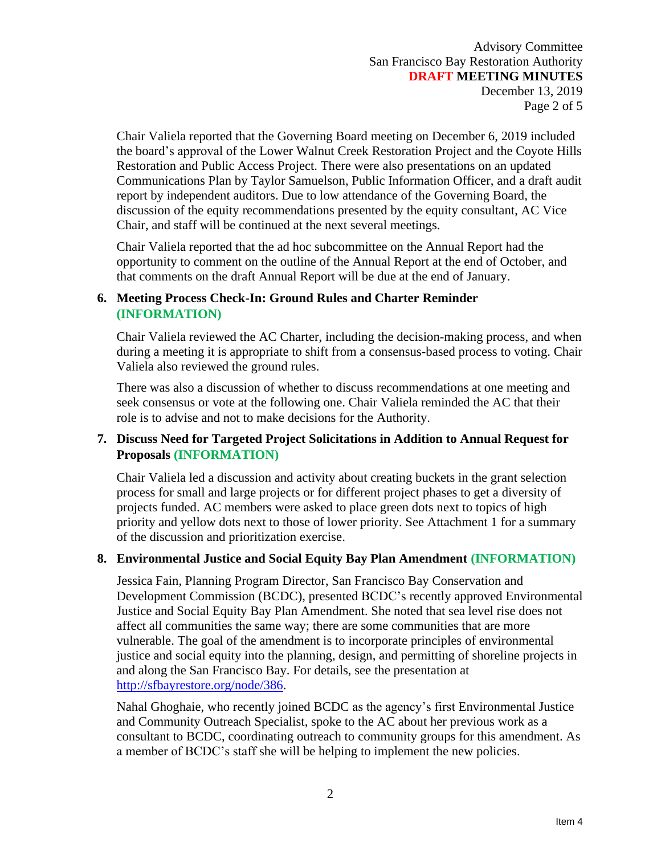Advisory Committee San Francisco Bay Restoration Authority **DRAFT MEETING MINUTES** December 13, 2019 Page 2 of 5

Chair Valiela reported that the Governing Board meeting on December 6, 2019 included the board's approval of the Lower Walnut Creek Restoration Project and the Coyote Hills Restoration and Public Access Project. There were also presentations on an updated Communications Plan by Taylor Samuelson, Public Information Officer, and a draft audit report by independent auditors. Due to low attendance of the Governing Board, the discussion of the equity recommendations presented by the equity consultant, AC Vice Chair, and staff will be continued at the next several meetings.

Chair Valiela reported that the ad hoc subcommittee on the Annual Report had the opportunity to comment on the outline of the Annual Report at the end of October, and that comments on the draft Annual Report will be due at the end of January.

# **6. Meeting Process Check-In: Ground Rules and Charter Reminder (INFORMATION)**

Chair Valiela reviewed the AC Charter, including the decision-making process, and when during a meeting it is appropriate to shift from a consensus-based process to voting. Chair Valiela also reviewed the ground rules.

There was also a discussion of whether to discuss recommendations at one meeting and seek consensus or vote at the following one. Chair Valiela reminded the AC that their role is to advise and not to make decisions for the Authority.

### **7. Discuss Need for Targeted Project Solicitations in Addition to Annual Request for Proposals (INFORMATION)**

Chair Valiela led a discussion and activity about creating buckets in the grant selection process for small and large projects or for different project phases to get a diversity of projects funded. AC members were asked to place green dots next to topics of high priority and yellow dots next to those of lower priority. See Attachment 1 for a summary of the discussion and prioritization exercise.

### **8. Environmental Justice and Social Equity Bay Plan Amendment (INFORMATION)**

Jessica Fain, Planning Program Director, San Francisco Bay Conservation and Development Commission (BCDC), presented BCDC's recently approved Environmental Justice and Social Equity Bay Plan Amendment. She noted that sea level rise does not affect all communities the same way; there are some communities that are more vulnerable. The goal of the amendment is to incorporate principles of environmental justice and social equity into the planning, design, and permitting of shoreline projects in and along the San Francisco Bay. For details, see the presentation at [http://sfbayrestore.org/node/386.](http://sfbayrestore.org/node/386)

Nahal Ghoghaie, who recently joined BCDC as the agency's first Environmental Justice and Community Outreach Specialist, spoke to the AC about her previous work as a consultant to BCDC, coordinating outreach to community groups for this amendment. As a member of BCDC's staff she will be helping to implement the new policies.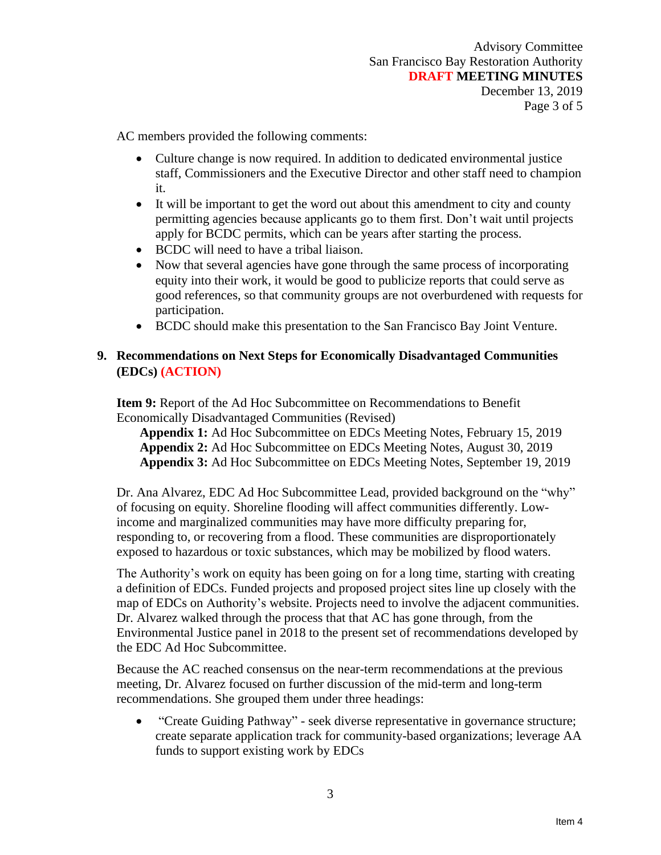AC members provided the following comments:

- Culture change is now required. In addition to dedicated environmental justice staff, Commissioners and the Executive Director and other staff need to champion it.
- It will be important to get the word out about this amendment to city and county permitting agencies because applicants go to them first. Don't wait until projects apply for BCDC permits, which can be years after starting the process.
- BCDC will need to have a tribal liaison.
- Now that several agencies have gone through the same process of incorporating equity into their work, it would be good to publicize reports that could serve as good references, so that community groups are not overburdened with requests for participation.
- BCDC should make this presentation to the San Francisco Bay Joint Venture.

# **9. Recommendations on Next Steps for Economically Disadvantaged Communities (EDCs) (ACTION)**

**Item 9:** Report of the Ad Hoc Subcommittee on Recommendations to Benefit Economically Disadvantaged Communities (Revised)

**Appendix 1:** Ad Hoc Subcommittee on EDCs Meeting Notes, February 15, 2019 **Appendix 2:** Ad Hoc Subcommittee on EDCs Meeting Notes, August 30, 2019 **Appendix 3:** Ad Hoc Subcommittee on EDCs Meeting Notes, September 19, 2019

Dr. Ana Alvarez, EDC Ad Hoc Subcommittee Lead, provided background on the "why" of focusing on equity. Shoreline flooding will affect communities differently. Lowincome and marginalized communities may have more difficulty preparing for, responding to, or recovering from a flood. These communities are disproportionately exposed to hazardous or toxic substances, which may be mobilized by flood waters.

The Authority's work on equity has been going on for a long time, starting with creating a definition of EDCs. Funded projects and proposed project sites line up closely with the map of EDCs on Authority's website. Projects need to involve the adjacent communities. Dr. Alvarez walked through the process that that AC has gone through, from the Environmental Justice panel in 2018 to the present set of recommendations developed by the EDC Ad Hoc Subcommittee.

Because the AC reached consensus on the near-term recommendations at the previous meeting, Dr. Alvarez focused on further discussion of the mid-term and long-term recommendations. She grouped them under three headings:

• "Create Guiding Pathway" - seek diverse representative in governance structure; create separate application track for community-based organizations; leverage AA funds to support existing work by EDCs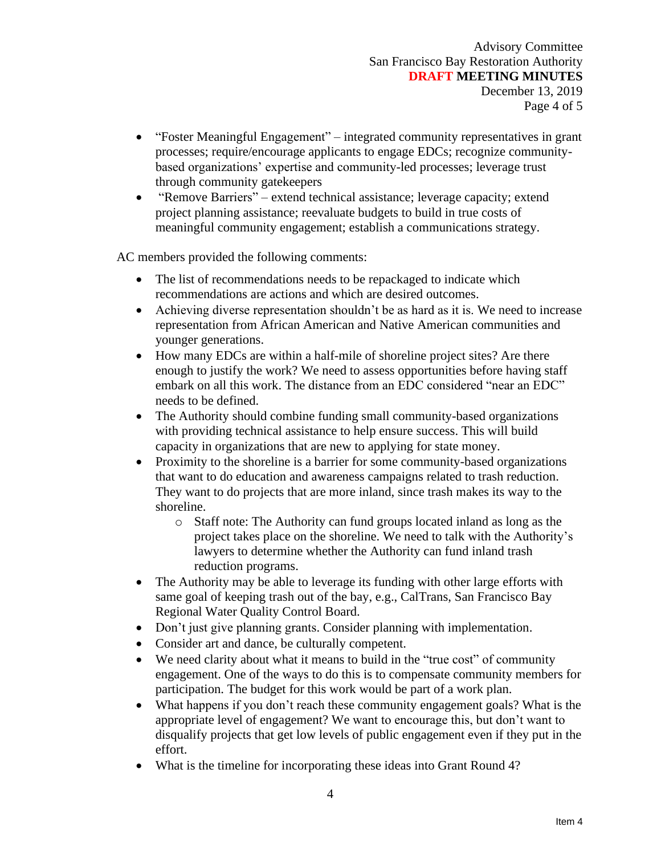- "Foster Meaningful Engagement" integrated community representatives in grant processes; require/encourage applicants to engage EDCs; recognize communitybased organizations' expertise and community-led processes; leverage trust through community gatekeepers
- "Remove Barriers" extend technical assistance; leverage capacity; extend project planning assistance; reevaluate budgets to build in true costs of meaningful community engagement; establish a communications strategy.

AC members provided the following comments:

- The list of recommendations needs to be repackaged to indicate which recommendations are actions and which are desired outcomes.
- Achieving diverse representation shouldn't be as hard as it is. We need to increase representation from African American and Native American communities and younger generations.
- How many EDCs are within a half-mile of shoreline project sites? Are there enough to justify the work? We need to assess opportunities before having staff embark on all this work. The distance from an EDC considered "near an EDC" needs to be defined.
- The Authority should combine funding small community-based organizations with providing technical assistance to help ensure success. This will build capacity in organizations that are new to applying for state money.
- Proximity to the shoreline is a barrier for some community-based organizations that want to do education and awareness campaigns related to trash reduction. They want to do projects that are more inland, since trash makes its way to the shoreline.
	- o Staff note: The Authority can fund groups located inland as long as the project takes place on the shoreline. We need to talk with the Authority's lawyers to determine whether the Authority can fund inland trash reduction programs.
- The Authority may be able to leverage its funding with other large efforts with same goal of keeping trash out of the bay, e.g., CalTrans, San Francisco Bay Regional Water Quality Control Board.
- Don't just give planning grants. Consider planning with implementation.
- Consider art and dance, be culturally competent.
- We need clarity about what it means to build in the "true cost" of community engagement. One of the ways to do this is to compensate community members for participation. The budget for this work would be part of a work plan.
- What happens if you don't reach these community engagement goals? What is the appropriate level of engagement? We want to encourage this, but don't want to disqualify projects that get low levels of public engagement even if they put in the effort.
- What is the timeline for incorporating these ideas into Grant Round 4?